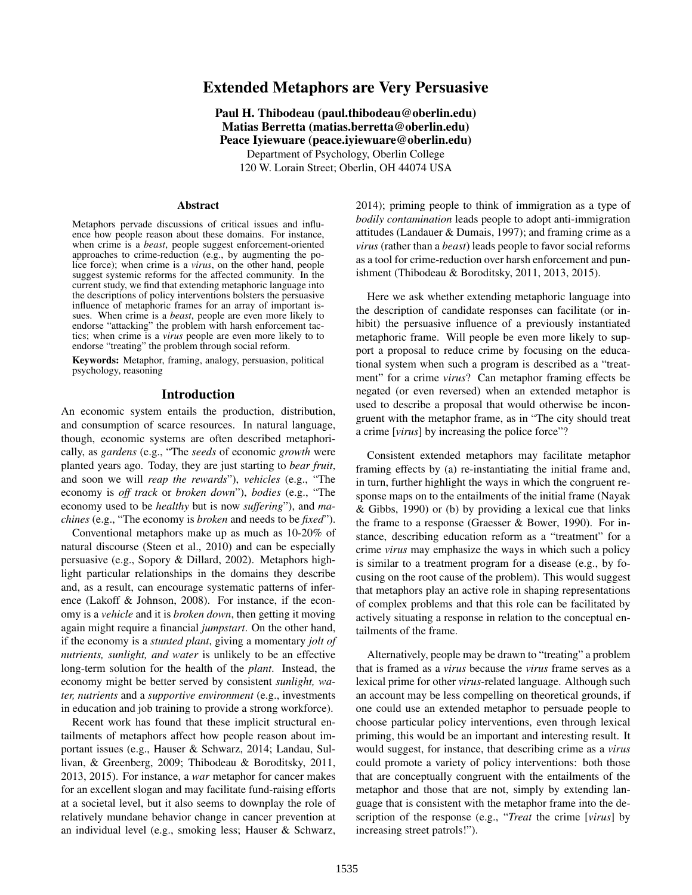# Extended Metaphors are Very Persuasive

Paul H. Thibodeau (paul.thibodeau@oberlin.edu) Matias Berretta (matias.berretta@oberlin.edu) Peace Iyiewuare (peace.iyiewuare@oberlin.edu) Department of Psychology, Oberlin College 120 W. Lorain Street; Oberlin, OH 44074 USA

#### Abstract

Metaphors pervade discussions of critical issues and influence how people reason about these domains. For instance, when crime is a *beast*, people suggest enforcement-oriented approaches to crime-reduction (e.g., by augmenting the police force); when crime is a *virus*, on the other hand, people suggest systemic reforms for the affected community. In the current study, we find that extending metaphoric language into the descriptions of policy interventions bolsters the persuasive influence of metaphoric frames for an array of important issues. When crime is a *beast*, people are even more likely to endorse "attacking" the problem with harsh enforcement tactics; when crime is a *virus* people are even more likely to to endorse "treating" the problem through social reform.

Keywords: Metaphor, framing, analogy, persuasion, political psychology, reasoning

#### Introduction

An economic system entails the production, distribution, and consumption of scarce resources. In natural language, though, economic systems are often described metaphorically, as *gardens* (e.g., "The *seeds* of economic *growth* were planted years ago. Today, they are just starting to *bear fruit*, and soon we will *reap the rewards*"), *vehicles* (e.g., "The economy is *off track* or *broken down*"), *bodies* (e.g., "The economy used to be *healthy* but is now *suffering*"), and *machines* (e.g., "The economy is *broken* and needs to be *fixed*").

Conventional metaphors make up as much as 10-20% of natural discourse (Steen et al., 2010) and can be especially persuasive (e.g., Sopory & Dillard, 2002). Metaphors highlight particular relationships in the domains they describe and, as a result, can encourage systematic patterns of inference (Lakoff & Johnson, 2008). For instance, if the economy is a *vehicle* and it is *broken down*, then getting it moving again might require a financial *jumpstart*. On the other hand, if the economy is a *stunted plant*, giving a momentary *jolt of nutrients, sunlight, and water* is unlikely to be an effective long-term solution for the health of the *plant*. Instead, the economy might be better served by consistent *sunlight, water, nutrients* and a *supportive environment* (e.g., investments in education and job training to provide a strong workforce).

Recent work has found that these implicit structural entailments of metaphors affect how people reason about important issues (e.g., Hauser & Schwarz, 2014; Landau, Sullivan, & Greenberg, 2009; Thibodeau & Boroditsky, 2011, 2013, 2015). For instance, a *war* metaphor for cancer makes for an excellent slogan and may facilitate fund-raising efforts at a societal level, but it also seems to downplay the role of relatively mundane behavior change in cancer prevention at an individual level (e.g., smoking less; Hauser & Schwarz, 2014); priming people to think of immigration as a type of *bodily contamination* leads people to adopt anti-immigration attitudes (Landauer & Dumais, 1997); and framing crime as a *virus* (rather than a *beast*) leads people to favor social reforms as a tool for crime-reduction over harsh enforcement and punishment (Thibodeau & Boroditsky, 2011, 2013, 2015).

Here we ask whether extending metaphoric language into the description of candidate responses can facilitate (or inhibit) the persuasive influence of a previously instantiated metaphoric frame. Will people be even more likely to support a proposal to reduce crime by focusing on the educational system when such a program is described as a "treatment" for a crime *virus*? Can metaphor framing effects be negated (or even reversed) when an extended metaphor is used to describe a proposal that would otherwise be incongruent with the metaphor frame, as in "The city should treat a crime [*virus*] by increasing the police force"?

Consistent extended metaphors may facilitate metaphor framing effects by (a) re-instantiating the initial frame and, in turn, further highlight the ways in which the congruent response maps on to the entailments of the initial frame (Nayak & Gibbs, 1990) or (b) by providing a lexical cue that links the frame to a response (Graesser & Bower, 1990). For instance, describing education reform as a "treatment" for a crime *virus* may emphasize the ways in which such a policy is similar to a treatment program for a disease (e.g., by focusing on the root cause of the problem). This would suggest that metaphors play an active role in shaping representations of complex problems and that this role can be facilitated by actively situating a response in relation to the conceptual entailments of the frame.

Alternatively, people may be drawn to "treating" a problem that is framed as a *virus* because the *virus* frame serves as a lexical prime for other *virus*-related language. Although such an account may be less compelling on theoretical grounds, if one could use an extended metaphor to persuade people to choose particular policy interventions, even through lexical priming, this would be an important and interesting result. It would suggest, for instance, that describing crime as a *virus* could promote a variety of policy interventions: both those that are conceptually congruent with the entailments of the metaphor and those that are not, simply by extending language that is consistent with the metaphor frame into the description of the response (e.g., "*Treat* the crime [*virus*] by increasing street patrols!").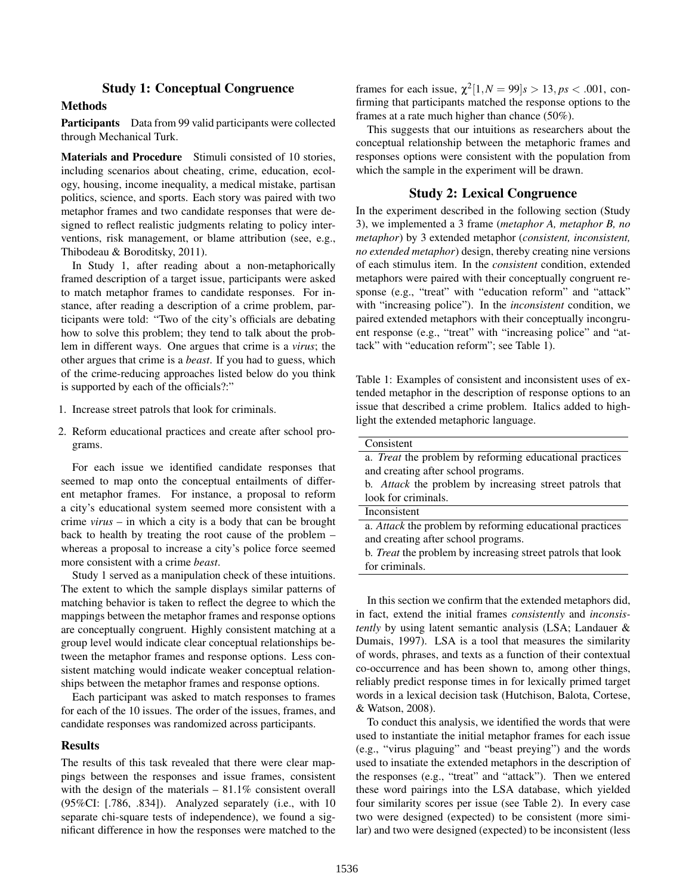# Study 1: Conceptual Congruence

#### Methods

Participants Data from 99 valid participants were collected through Mechanical Turk.

Materials and Procedure Stimuli consisted of 10 stories, including scenarios about cheating, crime, education, ecology, housing, income inequality, a medical mistake, partisan politics, science, and sports. Each story was paired with two metaphor frames and two candidate responses that were designed to reflect realistic judgments relating to policy interventions, risk management, or blame attribution (see, e.g., Thibodeau & Boroditsky, 2011).

In Study 1, after reading about a non-metaphorically framed description of a target issue, participants were asked to match metaphor frames to candidate responses. For instance, after reading a description of a crime problem, participants were told: "Two of the city's officials are debating how to solve this problem; they tend to talk about the problem in different ways. One argues that crime is a *virus*; the other argues that crime is a *beast*. If you had to guess, which of the crime-reducing approaches listed below do you think is supported by each of the officials?:"

- 1. Increase street patrols that look for criminals.
- 2. Reform educational practices and create after school programs.

For each issue we identified candidate responses that seemed to map onto the conceptual entailments of different metaphor frames. For instance, a proposal to reform a city's educational system seemed more consistent with a crime *virus* – in which a city is a body that can be brought back to health by treating the root cause of the problem – whereas a proposal to increase a city's police force seemed more consistent with a crime *beast*.

Study 1 served as a manipulation check of these intuitions. The extent to which the sample displays similar patterns of matching behavior is taken to reflect the degree to which the mappings between the metaphor frames and response options are conceptually congruent. Highly consistent matching at a group level would indicate clear conceptual relationships between the metaphor frames and response options. Less consistent matching would indicate weaker conceptual relationships between the metaphor frames and response options.

Each participant was asked to match responses to frames for each of the 10 issues. The order of the issues, frames, and candidate responses was randomized across participants.

#### Results

The results of this task revealed that there were clear mappings between the responses and issue frames, consistent with the design of the materials  $-81.1\%$  consistent overall (95%CI: [.786, .834]). Analyzed separately (i.e., with 10 separate chi-square tests of independence), we found a significant difference in how the responses were matched to the

frames for each issue,  $\chi^2[1, N = 99]s > 13, ps < .001$ , confirming that participants matched the response options to the frames at a rate much higher than chance (50%).

This suggests that our intuitions as researchers about the conceptual relationship between the metaphoric frames and responses options were consistent with the population from which the sample in the experiment will be drawn.

### Study 2: Lexical Congruence

In the experiment described in the following section (Study 3), we implemented a 3 frame (*metaphor A, metaphor B, no metaphor*) by 3 extended metaphor (*consistent, inconsistent, no extended metaphor*) design, thereby creating nine versions of each stimulus item. In the *consistent* condition, extended metaphors were paired with their conceptually congruent response (e.g., "treat" with "education reform" and "attack" with "increasing police"). In the *inconsistent* condition, we paired extended metaphors with their conceptually incongruent response (e.g., "treat" with "increasing police" and "attack" with "education reform"; see Table 1).

Table 1: Examples of consistent and inconsistent uses of extended metaphor in the description of response options to an issue that described a crime problem. Italics added to highlight the extended metaphoric language.

| Consistent                                                  |  |  |
|-------------------------------------------------------------|--|--|
| a. Treat the problem by reforming educational practices     |  |  |
| and creating after school programs.                         |  |  |
| b. Attack the problem by increasing street patrols that     |  |  |
| look for criminals.                                         |  |  |
| Inconsistent                                                |  |  |
| a. Attack the problem by reforming educational practices    |  |  |
| and creating after school programs.                         |  |  |
| b. Treat the problem by increasing street patrols that look |  |  |
| for criminals.                                              |  |  |

In this section we confirm that the extended metaphors did, in fact, extend the initial frames *consistently* and *inconsistently* by using latent semantic analysis (LSA; Landauer & Dumais, 1997). LSA is a tool that measures the similarity of words, phrases, and texts as a function of their contextual co-occurrence and has been shown to, among other things, reliably predict response times in for lexically primed target words in a lexical decision task (Hutchison, Balota, Cortese, & Watson, 2008).

To conduct this analysis, we identified the words that were used to instantiate the initial metaphor frames for each issue (e.g., "virus plaguing" and "beast preying") and the words used to insatiate the extended metaphors in the description of the responses (e.g., "treat" and "attack"). Then we entered these word pairings into the LSA database, which yielded four similarity scores per issue (see Table 2). In every case two were designed (expected) to be consistent (more similar) and two were designed (expected) to be inconsistent (less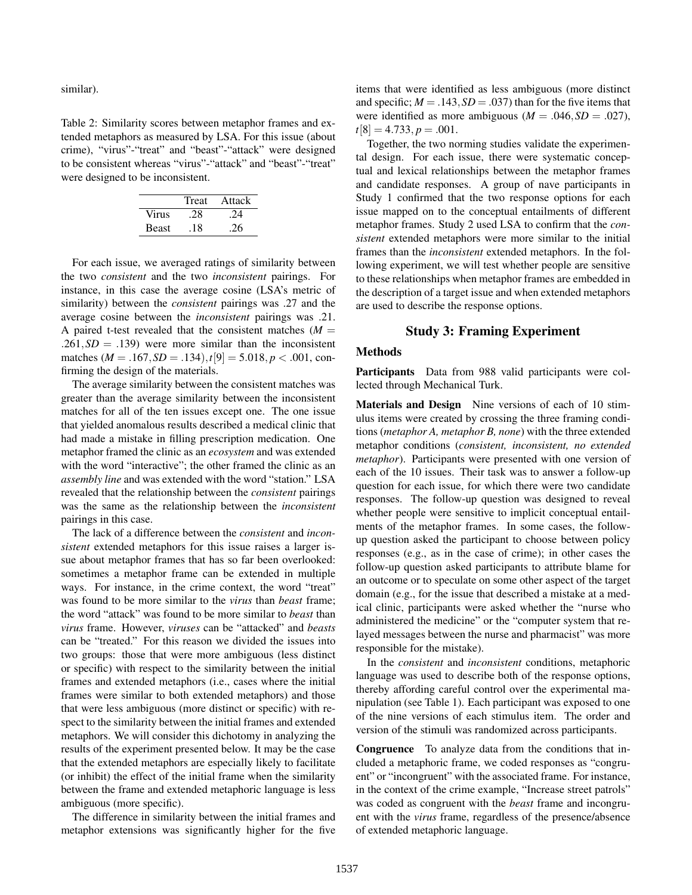similar).

Table 2: Similarity scores between metaphor frames and extended metaphors as measured by LSA. For this issue (about crime), "virus"-"treat" and "beast"-"attack" were designed to be consistent whereas "virus"-"attack" and "beast"-"treat" were designed to be inconsistent.

|              | Treat | Attack |
|--------------|-------|--------|
| Virus        | .28   | 24     |
| <b>Beast</b> | .18   | .26    |

For each issue, we averaged ratings of similarity between the two *consistent* and the two *inconsistent* pairings. For instance, in this case the average cosine (LSA's metric of similarity) between the *consistent* pairings was .27 and the average cosine between the *inconsistent* pairings was .21. A paired t-test revealed that the consistent matches  $(M =$  $.261, SD = .139$ ) were more similar than the inconsistent matches  $(M = .167, SD = .134), t[9] = 5.018, p < .001$ , confirming the design of the materials.

The average similarity between the consistent matches was greater than the average similarity between the inconsistent matches for all of the ten issues except one. The one issue that yielded anomalous results described a medical clinic that had made a mistake in filling prescription medication. One metaphor framed the clinic as an *ecosystem* and was extended with the word "interactive"; the other framed the clinic as an *assembly line* and was extended with the word "station." LSA revealed that the relationship between the *consistent* pairings was the same as the relationship between the *inconsistent* pairings in this case.

The lack of a difference between the *consistent* and *inconsistent* extended metaphors for this issue raises a larger issue about metaphor frames that has so far been overlooked: sometimes a metaphor frame can be extended in multiple ways. For instance, in the crime context, the word "treat" was found to be more similar to the *virus* than *beast* frame; the word "attack" was found to be more similar to *beast* than *virus* frame. However, *viruses* can be "attacked" and *beasts* can be "treated." For this reason we divided the issues into two groups: those that were more ambiguous (less distinct or specific) with respect to the similarity between the initial frames and extended metaphors (i.e., cases where the initial frames were similar to both extended metaphors) and those that were less ambiguous (more distinct or specific) with respect to the similarity between the initial frames and extended metaphors. We will consider this dichotomy in analyzing the results of the experiment presented below. It may be the case that the extended metaphors are especially likely to facilitate (or inhibit) the effect of the initial frame when the similarity between the frame and extended metaphoric language is less ambiguous (more specific).

The difference in similarity between the initial frames and metaphor extensions was significantly higher for the five items that were identified as less ambiguous (more distinct and specific;  $M = .143$ ,  $SD = .037$ ) than for the five items that were identified as more ambiguous ( $M = .046$ ,  $SD = .027$ ),  $t[8] = 4.733, p = .001.$ 

Together, the two norming studies validate the experimental design. For each issue, there were systematic conceptual and lexical relationships between the metaphor frames and candidate responses. A group of nave participants in Study 1 confirmed that the two response options for each issue mapped on to the conceptual entailments of different metaphor frames. Study 2 used LSA to confirm that the *consistent* extended metaphors were more similar to the initial frames than the *inconsistent* extended metaphors. In the following experiment, we will test whether people are sensitive to these relationships when metaphor frames are embedded in the description of a target issue and when extended metaphors are used to describe the response options.

## Study 3: Framing Experiment

#### Methods

Participants Data from 988 valid participants were collected through Mechanical Turk.

Materials and Design Nine versions of each of 10 stimulus items were created by crossing the three framing conditions (*metaphor A, metaphor B, none*) with the three extended metaphor conditions (*consistent, inconsistent, no extended metaphor*). Participants were presented with one version of each of the 10 issues. Their task was to answer a follow-up question for each issue, for which there were two candidate responses. The follow-up question was designed to reveal whether people were sensitive to implicit conceptual entailments of the metaphor frames. In some cases, the followup question asked the participant to choose between policy responses (e.g., as in the case of crime); in other cases the follow-up question asked participants to attribute blame for an outcome or to speculate on some other aspect of the target domain (e.g., for the issue that described a mistake at a medical clinic, participants were asked whether the "nurse who administered the medicine" or the "computer system that relayed messages between the nurse and pharmacist" was more responsible for the mistake).

In the *consistent* and *inconsistent* conditions, metaphoric language was used to describe both of the response options, thereby affording careful control over the experimental manipulation (see Table 1). Each participant was exposed to one of the nine versions of each stimulus item. The order and version of the stimuli was randomized across participants.

Congruence To analyze data from the conditions that included a metaphoric frame, we coded responses as "congruent" or "incongruent" with the associated frame. For instance, in the context of the crime example, "Increase street patrols" was coded as congruent with the *beast* frame and incongruent with the *virus* frame, regardless of the presence/absence of extended metaphoric language.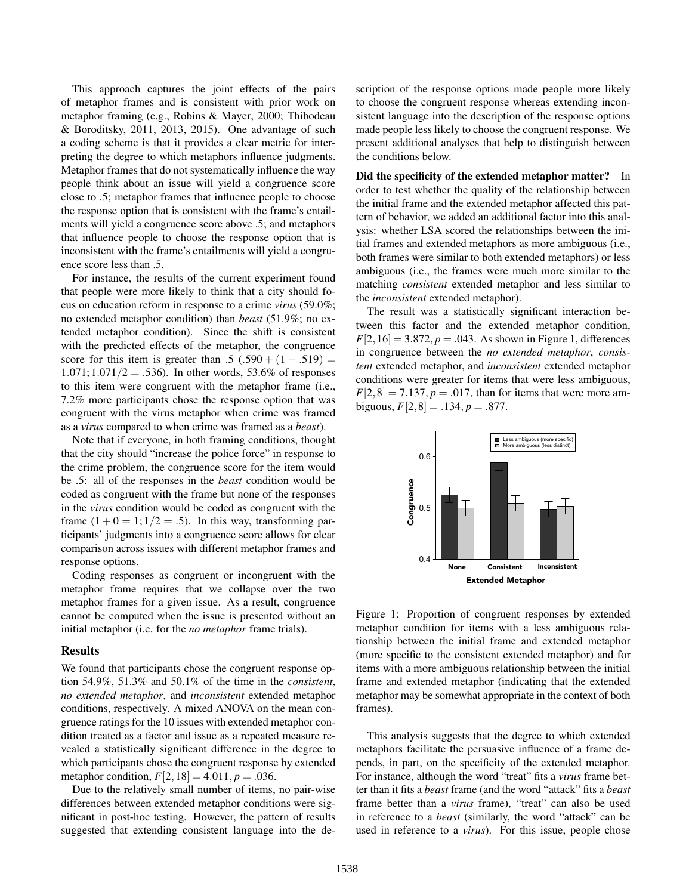This approach captures the joint effects of the pairs of metaphor frames and is consistent with prior work on metaphor framing (e.g., Robins & Mayer, 2000; Thibodeau & Boroditsky, 2011, 2013, 2015). One advantage of such a coding scheme is that it provides a clear metric for interpreting the degree to which metaphors influence judgments. Metaphor frames that do not systematically influence the way people think about an issue will yield a congruence score close to .5; metaphor frames that influence people to choose the response option that is consistent with the frame's entailments will yield a congruence score above .5; and metaphors that influence people to choose the response option that is inconsistent with the frame's entailments will yield a congruence score less than .5.

For instance, the results of the current experiment found that people were more likely to think that a city should focus on education reform in response to a crime *virus* (59.0%; no extended metaphor condition) than *beast* (51.9%; no extended metaphor condition). Since the shift is consistent with the predicted effects of the metaphor, the congruence score for this item is greater than  $.5(.590 + (1-.519)) =$  $1.071; 1.071/2 = .536$ . In other words, 53.6% of responses to this item were congruent with the metaphor frame (i.e., 7.2% more participants chose the response option that was congruent with the virus metaphor when crime was framed as a *virus* compared to when crime was framed as a *beast*).

Note that if everyone, in both framing conditions, thought that the city should "increase the police force" in response to the crime problem, the congruence score for the item would be .5: all of the responses in the *beast* condition would be coded as congruent with the frame but none of the responses in the *virus* condition would be coded as congruent with the frame  $(1+0=1;1/2=.5)$ . In this way, transforming participants' judgments into a congruence score allows for clear comparison across issues with different metaphor frames and response options.

Coding responses as congruent or incongruent with the metaphor frame requires that we collapse over the two metaphor frames for a given issue. As a result, congruence cannot be computed when the issue is presented without an initial metaphor (i.e. for the *no metaphor* frame trials).

#### **Results**

We found that participants chose the congruent response option 54.9%, 51.3% and 50.1% of the time in the *consistent*, *no extended metaphor*, and *inconsistent* extended metaphor conditions, respectively. A mixed ANOVA on the mean congruence ratings for the 10 issues with extended metaphor condition treated as a factor and issue as a repeated measure revealed a statistically significant difference in the degree to which participants chose the congruent response by extended metaphor condition,  $F[2,18] = 4.011$ ,  $p = .036$ .

Due to the relatively small number of items, no pair-wise differences between extended metaphor conditions were significant in post-hoc testing. However, the pattern of results suggested that extending consistent language into the description of the response options made people more likely to choose the congruent response whereas extending inconsistent language into the description of the response options made people less likely to choose the congruent response. We present additional analyses that help to distinguish between the conditions below.

Did the specificity of the extended metaphor matter? In order to test whether the quality of the relationship between the initial frame and the extended metaphor affected this pattern of behavior, we added an additional factor into this analysis: whether LSA scored the relationships between the initial frames and extended metaphors as more ambiguous (i.e., both frames were similar to both extended metaphors) or less ambiguous (i.e., the frames were much more similar to the matching *consistent* extended metaphor and less similar to the *inconsistent* extended metaphor).

The result was a statistically significant interaction between this factor and the extended metaphor condition,  $F[2, 16] = 3.872, p = .043$ . As shown in Figure 1, differences in congruence between the *no extended metaphor*, *consistent* extended metaphor, and *inconsistent* extended metaphor conditions were greater for items that were less ambiguous,  $F[2,8] = 7.137, p = .017$ , than for items that were more ambiguous,  $F[2,8] = .134, p = .877$ .



Figure 1: Proportion of congruent responses by extended metaphor condition for items with a less ambiguous relationship between the initial frame and extended metaphor (more specific to the consistent extended metaphor) and for items with a more ambiguous relationship between the initial frame and extended metaphor (indicating that the extended metaphor may be somewhat appropriate in the context of both frames).

This analysis suggests that the degree to which extended metaphors facilitate the persuasive influence of a frame depends, in part, on the specificity of the extended metaphor. For instance, although the word "treat" fits a *virus* frame better than it fits a *beast* frame (and the word "attack" fits a *beast* frame better than a *virus* frame), "treat" can also be used in reference to a *beast* (similarly, the word "attack" can be used in reference to a *virus*). For this issue, people chose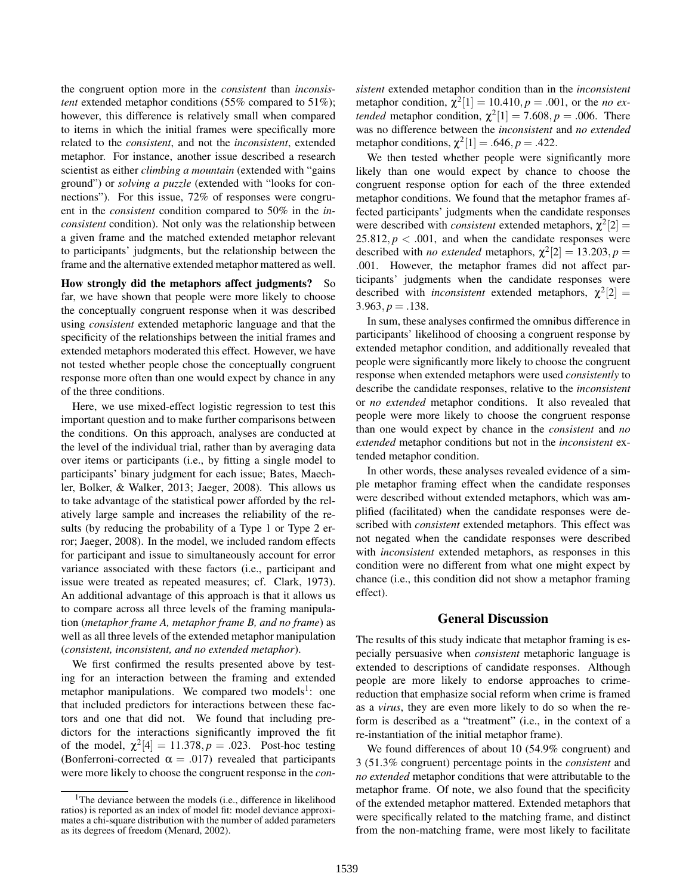the congruent option more in the *consistent* than *inconsistent* extended metaphor conditions (55% compared to 51%); however, this difference is relatively small when compared to items in which the initial frames were specifically more related to the *consistent*, and not the *inconsistent*, extended metaphor. For instance, another issue described a research scientist as either *climbing a mountain* (extended with "gains ground") or *solving a puzzle* (extended with "looks for connections"). For this issue, 72% of responses were congruent in the *consistent* condition compared to 50% in the *inconsistent* condition). Not only was the relationship between a given frame and the matched extended metaphor relevant to participants' judgments, but the relationship between the frame and the alternative extended metaphor mattered as well.

How strongly did the metaphors affect judgments? So far, we have shown that people were more likely to choose the conceptually congruent response when it was described using *consistent* extended metaphoric language and that the specificity of the relationships between the initial frames and extended metaphors moderated this effect. However, we have not tested whether people chose the conceptually congruent response more often than one would expect by chance in any of the three conditions.

Here, we use mixed-effect logistic regression to test this important question and to make further comparisons between the conditions. On this approach, analyses are conducted at the level of the individual trial, rather than by averaging data over items or participants (i.e., by fitting a single model to participants' binary judgment for each issue; Bates, Maechler, Bolker, & Walker, 2013; Jaeger, 2008). This allows us to take advantage of the statistical power afforded by the relatively large sample and increases the reliability of the results (by reducing the probability of a Type 1 or Type 2 error; Jaeger, 2008). In the model, we included random effects for participant and issue to simultaneously account for error variance associated with these factors (i.e., participant and issue were treated as repeated measures; cf. Clark, 1973). An additional advantage of this approach is that it allows us to compare across all three levels of the framing manipulation (*metaphor frame A, metaphor frame B, and no frame*) as well as all three levels of the extended metaphor manipulation (*consistent, inconsistent, and no extended metaphor*).

We first confirmed the results presented above by testing for an interaction between the framing and extended metaphor manipulations. We compared two models<sup>1</sup>: one that included predictors for interactions between these factors and one that did not. We found that including predictors for the interactions significantly improved the fit of the model,  $\chi^2[4] = 11.378, p = .023$ . Post-hoc testing (Bonferroni-corrected  $\alpha = .017$ ) revealed that participants were more likely to choose the congruent response in the *con-* *sistent* extended metaphor condition than in the *inconsistent* metaphor condition,  $\chi^2[1] = 10.410, p = .001$ , or the *no extended* metaphor condition,  $\chi^2[1] = 7.608, p = .006$ . There was no difference between the *inconsistent* and *no extended* metaphor conditions,  $\chi^2[1] = .646, p = .422$ .

We then tested whether people were significantly more likely than one would expect by chance to choose the congruent response option for each of the three extended metaphor conditions. We found that the metaphor frames affected participants' judgments when the candidate responses were described with *consistent* extended metaphors,  $\chi^2[2] =$  $25.812, p < .001$ , and when the candidate responses were described with *no extended* metaphors,  $\chi^2[2] = 13.203$ ,  $p =$ .001. However, the metaphor frames did not affect participants' judgments when the candidate responses were described with *inconsistent* extended metaphors,  $\chi^2[2] =$  $3.963, p = .138.$ 

In sum, these analyses confirmed the omnibus difference in participants' likelihood of choosing a congruent response by extended metaphor condition, and additionally revealed that people were significantly more likely to choose the congruent response when extended metaphors were used *consistently* to describe the candidate responses, relative to the *inconsistent* or *no extended* metaphor conditions. It also revealed that people were more likely to choose the congruent response than one would expect by chance in the *consistent* and *no extended* metaphor conditions but not in the *inconsistent* extended metaphor condition.

In other words, these analyses revealed evidence of a simple metaphor framing effect when the candidate responses were described without extended metaphors, which was amplified (facilitated) when the candidate responses were described with *consistent* extended metaphors. This effect was not negated when the candidate responses were described with *inconsistent* extended metaphors, as responses in this condition were no different from what one might expect by chance (i.e., this condition did not show a metaphor framing effect).

#### General Discussion

The results of this study indicate that metaphor framing is especially persuasive when *consistent* metaphoric language is extended to descriptions of candidate responses. Although people are more likely to endorse approaches to crimereduction that emphasize social reform when crime is framed as a *virus*, they are even more likely to do so when the reform is described as a "treatment" (i.e., in the context of a re-instantiation of the initial metaphor frame).

We found differences of about 10 (54.9% congruent) and 3 (51.3% congruent) percentage points in the *consistent* and *no extended* metaphor conditions that were attributable to the metaphor frame. Of note, we also found that the specificity of the extended metaphor mattered. Extended metaphors that were specifically related to the matching frame, and distinct from the non-matching frame, were most likely to facilitate

<sup>&</sup>lt;sup>1</sup>The deviance between the models (i.e., difference in likelihood ratios) is reported as an index of model fit: model deviance approximates a chi-square distribution with the number of added parameters as its degrees of freedom (Menard, 2002).